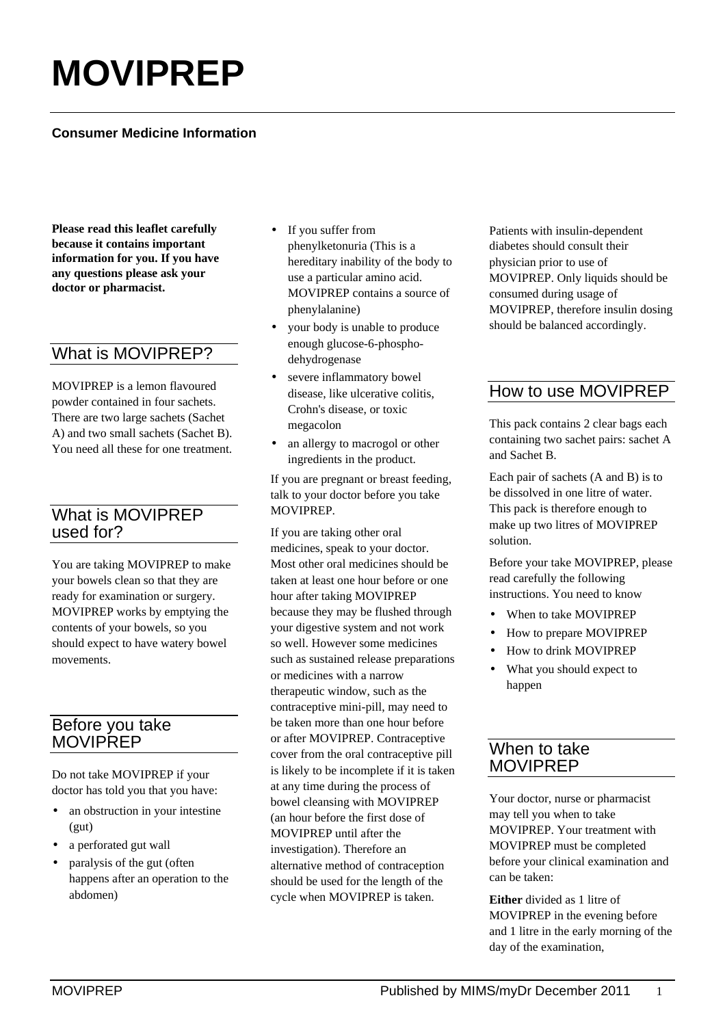# **MOVIPREP**

#### **Consumer Medicine Information**

**Please read this leaflet carefully because it contains important information for you. If you have any questions please ask your doctor or pharmacist.**

# What is MOVIPREP?

MOVIPREP is a lemon flavoured powder contained in four sachets. There are two large sachets (Sachet A) and two small sachets (Sachet B). You need all these for one treatment.

# What is MOVIPREP used for?

You are taking MOVIPREP to make your bowels clean so that they are ready for examination or surgery. MOVIPREP works by emptying the contents of your bowels, so you should expect to have watery bowel movements.

## Before you take **MOVIPREP**

Do not take MOVIPREP if your doctor has told you that you have:

- an obstruction in your intestine (gut)
- a perforated gut wall
- paralysis of the gut (often happens after an operation to the abdomen)
- If you suffer from phenylketonuria (This is a hereditary inability of the body to use a particular amino acid. MOVIPREP contains a source of phenylalanine)
- your body is unable to produce enough glucose-6-phosphodehydrogenase
- severe inflammatory bowel disease, like ulcerative colitis, Crohn's disease, or toxic megacolon
- an allergy to macrogol or other ingredients in the product.

If you are pregnant or breast feeding, talk to your doctor before you take MOVIPREP.

If you are taking other oral medicines, speak to your doctor. Most other oral medicines should be taken at least one hour before or one hour after taking MOVIPREP because they may be flushed through your digestive system and not work so well. However some medicines such as sustained release preparations or medicines with a narrow therapeutic window, such as the contraceptive mini-pill, may need to be taken more than one hour before or after MOVIPREP. Contraceptive cover from the oral contraceptive pill is likely to be incomplete if it is taken at any time during the process of bowel cleansing with MOVIPREP (an hour before the first dose of MOVIPREP until after the investigation). Therefore an alternative method of contraception should be used for the length of the cycle when MOVIPREP is taken.

Patients with insulin-dependent diabetes should consult their physician prior to use of MOVIPREP. Only liquids should be consumed during usage of MOVIPREP, therefore insulin dosing should be balanced accordingly.

# How to use MOVIPREP

This pack contains 2 clear bags each containing two sachet pairs: sachet A and Sachet B.

Each pair of sachets (A and B) is to be dissolved in one litre of water. This pack is therefore enough to make up two litres of MOVIPREP solution.

Before your take MOVIPREP, please read carefully the following instructions. You need to know

- When to take MOVIPREP
- How to prepare MOVIPREP
- How to drink MOVIPREP
- What you should expect to happen

## When to take MOVIPREP

Your doctor, nurse or pharmacist may tell you when to take MOVIPREP. Your treatment with MOVIPREP must be completed before your clinical examination and can be taken:

**Either** divided as 1 litre of MOVIPREP in the evening before and 1 litre in the early morning of the day of the examination,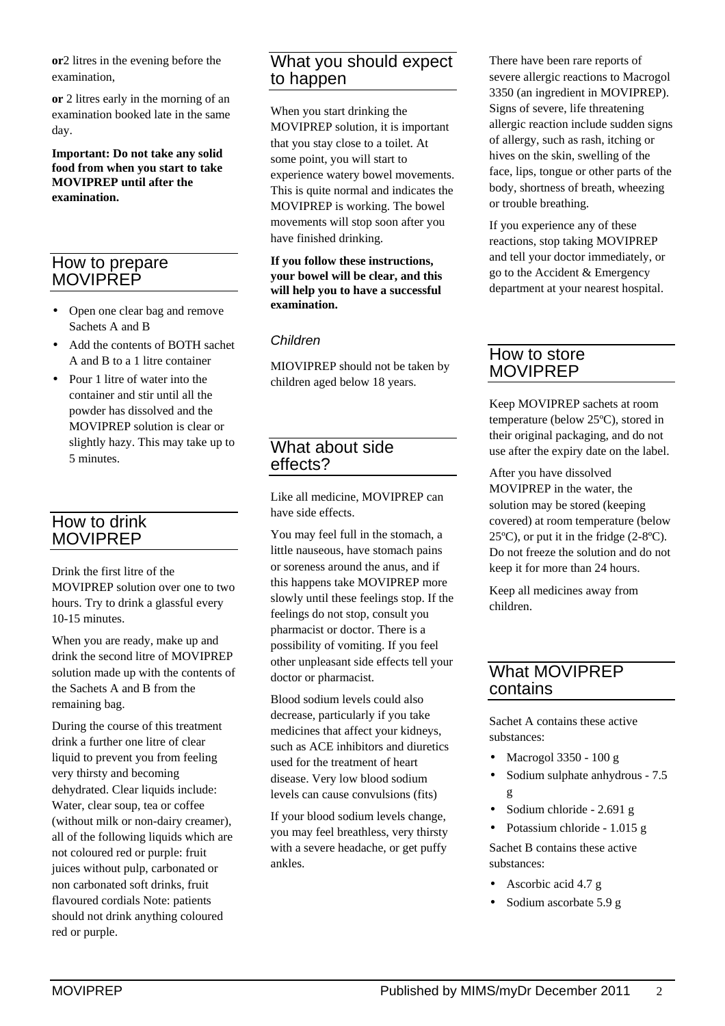**or**2 litres in the evening before the examination,

**or** 2 litres early in the morning of an examination booked late in the same day.

**Important: Do not take any solid food from when you start to take MOVIPREP until after the examination.**

#### How to prepare **MOVIPREP**

- Open one clear bag and remove Sachets A and B
- Add the contents of BOTH sachet A and B to a 1 litre container
- Pour 1 litre of water into the container and stir until all the powder has dissolved and the MOVIPREP solution is clear or slightly hazy. This may take up to 5 minutes.

# How to drink MOVIPREP

Drink the first litre of the MOVIPREP solution over one to two hours. Try to drink a glassful every 10-15 minutes.

When you are ready, make up and drink the second litre of MOVIPREP solution made up with the contents of the Sachets A and B from the remaining bag.

During the course of this treatment drink a further one litre of clear liquid to prevent you from feeling very thirsty and becoming dehydrated. Clear liquids include: Water, clear soup, tea or coffee (without milk or non-dairy creamer), all of the following liquids which are not coloured red or purple: fruit juices without pulp, carbonated or non carbonated soft drinks, fruit flavoured cordials Note: patients should not drink anything coloured red or purple.

# What you should expect to happen

When you start drinking the MOVIPREP solution, it is important that you stay close to a toilet. At some point, you will start to experience watery bowel movements. This is quite normal and indicates the MOVIPREP is working. The bowel movements will stop soon after you have finished drinking.

#### **If you follow these instructions, your bowel will be clear, and this will help you to have a successful examination.**

#### *Children*

MIOVIPREP should not be taken by children aged below 18 years.

#### What about side effects?

Like all medicine, MOVIPREP can have side effects.

You may feel full in the stomach, a little nauseous, have stomach pains or soreness around the anus, and if this happens take MOVIPREP more slowly until these feelings stop. If the feelings do not stop, consult you pharmacist or doctor. There is a possibility of vomiting. If you feel other unpleasant side effects tell your doctor or pharmacist.

Blood sodium levels could also decrease, particularly if you take medicines that affect your kidneys, such as ACE inhibitors and diuretics used for the treatment of heart disease. Very low blood sodium levels can cause convulsions (fits)

If your blood sodium levels change, you may feel breathless, very thirsty with a severe headache, or get puffy ankles.

There have been rare reports of severe allergic reactions to Macrogol 3350 (an ingredient in MOVIPREP). Signs of severe, life threatening allergic reaction include sudden signs of allergy, such as rash, itching or hives on the skin, swelling of the face, lips, tongue or other parts of the body, shortness of breath, wheezing or trouble breathing.

If you experience any of these reactions, stop taking MOVIPREP and tell your doctor immediately, or go to the Accident & Emergency department at your nearest hospital.

#### How to store MOVIPREP

Keep MOVIPREP sachets at room temperature (below 25ºC), stored in their original packaging, and do not use after the expiry date on the label.

After you have dissolved MOVIPREP in the water, the solution may be stored (keeping covered) at room temperature (below 25ºC), or put it in the fridge (2-8ºC). Do not freeze the solution and do not keep it for more than 24 hours.

Keep all medicines away from children.

# What MOVIPRFP contains

Sachet A contains these active substances:

- Macrogol 3350 100 g
- Sodium sulphate anhydrous 7.5 g
- Sodium chloride 2.691 g
- Potassium chloride 1.015 g

Sachet B contains these active substances:

- Ascorbic acid 4.7 g
- Sodium ascorbate 5.9 g